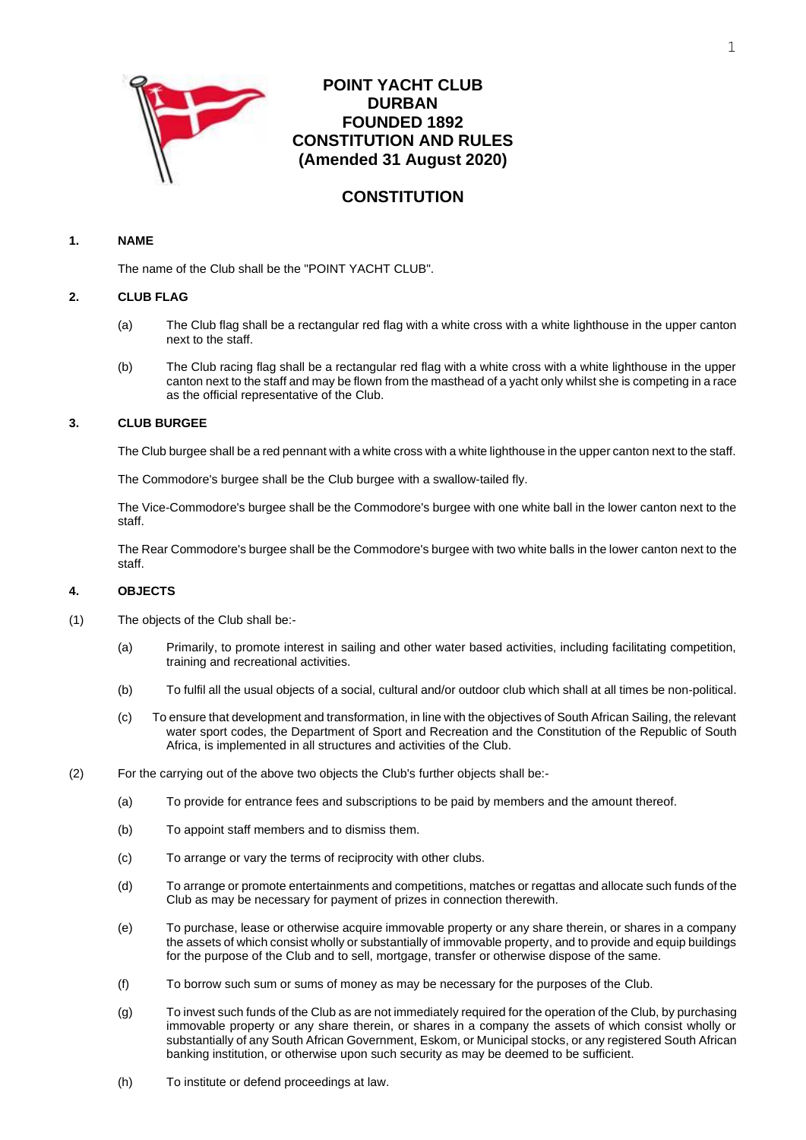

# **POINT YACHT CLUB DURBAN FOUNDED 1892 CONSTITUTION AND RULES (Amended 31 August 2020)**

# **CONSTITUTION**

# **1. NAME**

The name of the Club shall be the "POINT YACHT CLUB".

## **2. CLUB FLAG**

- (a) The Club flag shall be a rectangular red flag with a white cross with a white lighthouse in the upper canton next to the staff.
- (b) The Club racing flag shall be a rectangular red flag with a white cross with a white lighthouse in the upper canton next to the staff and may be flown from the masthead of a yacht only whilst she is competing in a race as the official representative of the Club.

## **3. CLUB BURGEE**

The Club burgee shall be a red pennant with a white cross with a white lighthouse in the upper canton next to the staff.

The Commodore's burgee shall be the Club burgee with a swallow-tailed fly.

The Vice-Commodore's burgee shall be the Commodore's burgee with one white ball in the lower canton next to the staff.

The Rear Commodore's burgee shall be the Commodore's burgee with two white balls in the lower canton next to the staff.

# **4. OBJECTS**

- (1) The objects of the Club shall be:-
	- (a) Primarily, to promote interest in sailing and other water based activities, including facilitating competition, training and recreational activities.
	- (b) To fulfil all the usual objects of a social, cultural and/or outdoor club which shall at all times be non-political.
	- (c) To ensure that development and transformation, in line with the objectives of South African Sailing, the relevant water sport codes, the Department of Sport and Recreation and the Constitution of the Republic of South Africa, is implemented in all structures and activities of the Club.
- (2) For the carrying out of the above two objects the Club's further objects shall be:-
	- (a) To provide for entrance fees and subscriptions to be paid by members and the amount thereof.
	- (b) To appoint staff members and to dismiss them.
	- (c) To arrange or vary the terms of reciprocity with other clubs.
	- (d) To arrange or promote entertainments and competitions, matches or regattas and allocate such funds of the Club as may be necessary for payment of prizes in connection therewith.
	- (e) To purchase, lease or otherwise acquire immovable property or any share therein, or shares in a company the assets of which consist wholly or substantially of immovable property, and to provide and equip buildings for the purpose of the Club and to sell, mortgage, transfer or otherwise dispose of the same.
	- (f) To borrow such sum or sums of money as may be necessary for the purposes of the Club.
	- (g) To invest such funds of the Club as are not immediately required for the operation of the Club, by purchasing immovable property or any share therein, or shares in a company the assets of which consist wholly or substantially of any South African Government, Eskom, or Municipal stocks, or any registered South African banking institution, or otherwise upon such security as may be deemed to be sufficient.
	- (h) To institute or defend proceedings at law.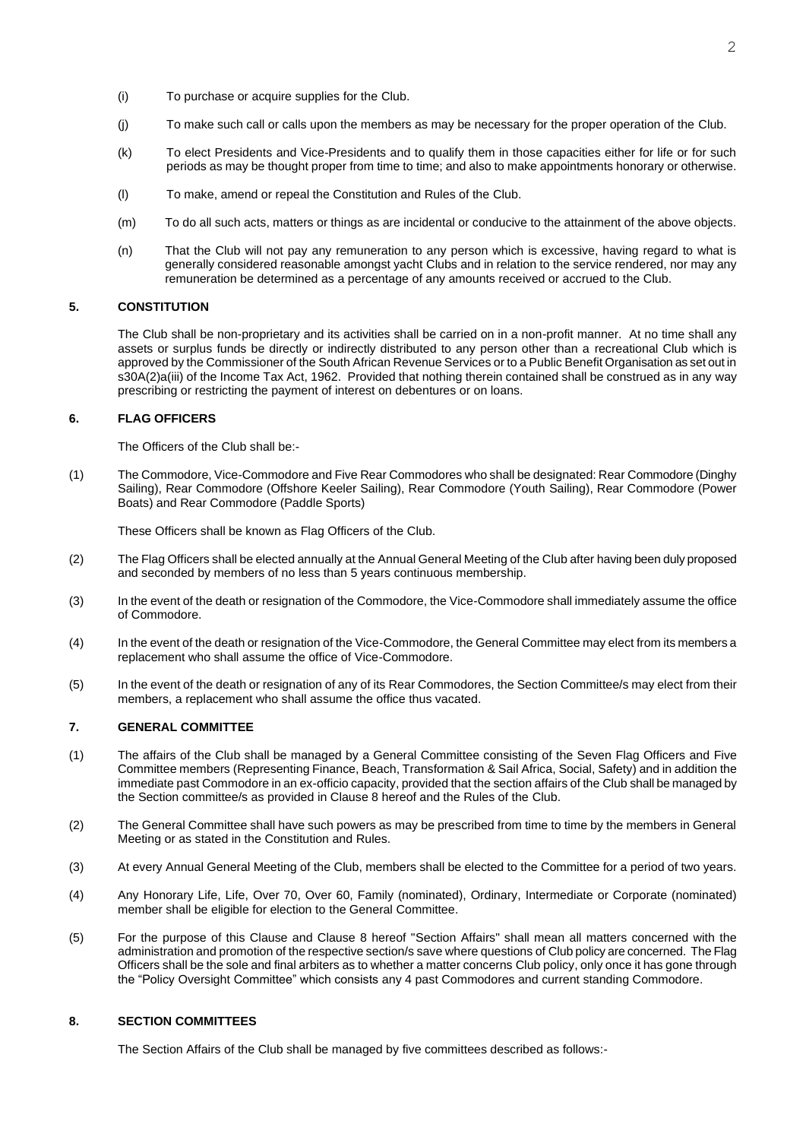- (i) To purchase or acquire supplies for the Club.
- (j) To make such call or calls upon the members as may be necessary for the proper operation of the Club.
- (k) To elect Presidents and Vice-Presidents and to qualify them in those capacities either for life or for such periods as may be thought proper from time to time; and also to make appointments honorary or otherwise.
- (l) To make, amend or repeal the Constitution and Rules of the Club.
- (m) To do all such acts, matters or things as are incidental or conducive to the attainment of the above objects.
- (n) That the Club will not pay any remuneration to any person which is excessive, having regard to what is generally considered reasonable amongst yacht Clubs and in relation to the service rendered, nor may any remuneration be determined as a percentage of any amounts received or accrued to the Club.

### **5. CONSTITUTION**

The Club shall be non-proprietary and its activities shall be carried on in a non-profit manner. At no time shall any assets or surplus funds be directly or indirectly distributed to any person other than a recreational Club which is approved by the Commissioner of the South African Revenue Services or to a Public Benefit Organisation as set out in s30A(2)a(iii) of the Income Tax Act, 1962. Provided that nothing therein contained shall be construed as in any way prescribing or restricting the payment of interest on debentures or on loans.

#### **6. FLAG OFFICERS**

The Officers of the Club shall be:-

(1) The Commodore, Vice-Commodore and Five Rear Commodores who shall be designated: Rear Commodore (Dinghy Sailing), Rear Commodore (Offshore Keeler Sailing), Rear Commodore (Youth Sailing), Rear Commodore (Power Boats) and Rear Commodore (Paddle Sports)

These Officers shall be known as Flag Officers of the Club.

- (2) The Flag Officers shall be elected annually at the Annual General Meeting of the Club after having been duly proposed and seconded by members of no less than 5 years continuous membership.
- (3) In the event of the death or resignation of the Commodore, the Vice-Commodore shall immediately assume the office of Commodore.
- (4) In the event of the death or resignation of the Vice-Commodore, the General Committee may elect from its members a replacement who shall assume the office of Vice-Commodore.
- (5) In the event of the death or resignation of any of its Rear Commodores, the Section Committee/s may elect from their members, a replacement who shall assume the office thus vacated.

#### **7. GENERAL COMMITTEE**

- (1) The affairs of the Club shall be managed by a General Committee consisting of the Seven Flag Officers and Five Committee members (Representing Finance, Beach, Transformation & Sail Africa, Social, Safety) and in addition the immediate past Commodore in an ex-officio capacity, provided that the section affairs of the Club shall be managed by the Section committee/s as provided in Clause 8 hereof and the Rules of the Club.
- (2) The General Committee shall have such powers as may be prescribed from time to time by the members in General Meeting or as stated in the Constitution and Rules.
- (3) At every Annual General Meeting of the Club, members shall be elected to the Committee for a period of two years.
- (4) Any Honorary Life, Life, Over 70, Over 60, Family (nominated), Ordinary, Intermediate or Corporate (nominated) member shall be eligible for election to the General Committee.
- (5) For the purpose of this Clause and Clause 8 hereof "Section Affairs" shall mean all matters concerned with the administration and promotion of the respective section/s save where questions of Club policy are concerned. The Flag Officers shall be the sole and final arbiters as to whether a matter concerns Club policy, only once it has gone through the "Policy Oversight Committee" which consists any 4 past Commodores and current standing Commodore.

### **8. SECTION COMMITTEES**

The Section Affairs of the Club shall be managed by five committees described as follows:-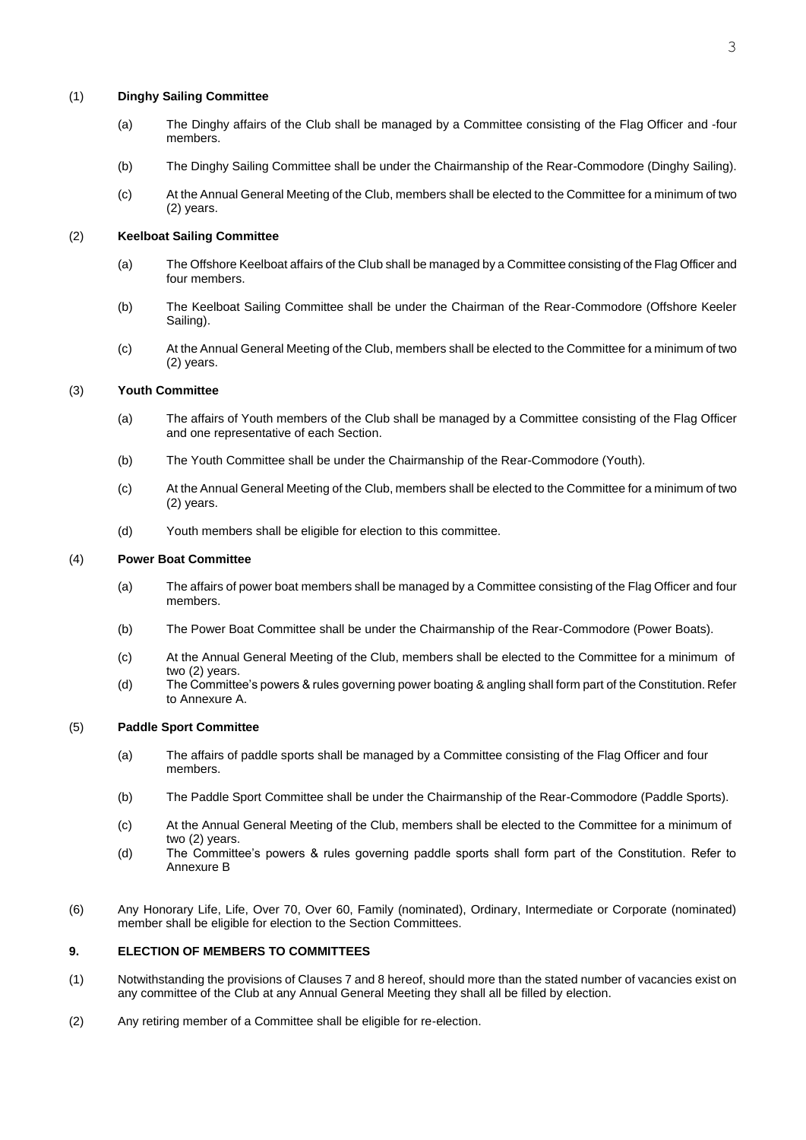### (1) **Dinghy Sailing Committee**

- (a) The Dinghy affairs of the Club shall be managed by a Committee consisting of the Flag Officer and -four members.
- (b) The Dinghy Sailing Committee shall be under the Chairmanship of the Rear-Commodore (Dinghy Sailing).
- (c) At the Annual General Meeting of the Club, members shall be elected to the Committee for a minimum of two (2) years.

### (2) **Keelboat Sailing Committee**

- (a) The Offshore Keelboat affairs of the Club shall be managed by a Committee consisting of the Flag Officer and four members.
- (b) The Keelboat Sailing Committee shall be under the Chairman of the Rear-Commodore (Offshore Keeler Sailing).
- (c) At the Annual General Meeting of the Club, members shall be elected to the Committee for a minimum of two (2) years.

#### (3) **Youth Committee**

- (a) The affairs of Youth members of the Club shall be managed by a Committee consisting of the Flag Officer and one representative of each Section.
- (b) The Youth Committee shall be under the Chairmanship of the Rear-Commodore (Youth).
- (c) At the Annual General Meeting of the Club, members shall be elected to the Committee for a minimum of two (2) years.
- (d) Youth members shall be eligible for election to this committee.

### (4) **Power Boat Committee**

- (a) The affairs of power boat members shall be managed by a Committee consisting of the Flag Officer and four members.
- (b) The Power Boat Committee shall be under the Chairmanship of the Rear-Commodore (Power Boats).
- (c) At the Annual General Meeting of the Club, members shall be elected to the Committee for a minimum of two (2) years.
- (d) The Committee's powers & rules governing power boating & angling shall form part of the Constitution. Refer to Annexure A.

#### (5) **Paddle Sport Committee**

- (a) The affairs of paddle sports shall be managed by a Committee consisting of the Flag Officer and four members.
- (b) The Paddle Sport Committee shall be under the Chairmanship of the Rear-Commodore (Paddle Sports).
- (c) At the Annual General Meeting of the Club, members shall be elected to the Committee for a minimum of two (2) years.
- (d) The Committee's powers & rules governing paddle sports shall form part of the Constitution. Refer to Annexure B
- (6) Any Honorary Life, Life, Over 70, Over 60, Family (nominated), Ordinary, Intermediate or Corporate (nominated) member shall be eligible for election to the Section Committees.

#### **9. ELECTION OF MEMBERS TO COMMITTEES**

- (1) Notwithstanding the provisions of Clauses 7 and 8 hereof, should more than the stated number of vacancies exist on any committee of the Club at any Annual General Meeting they shall all be filled by election.
- (2) Any retiring member of a Committee shall be eligible for re-election.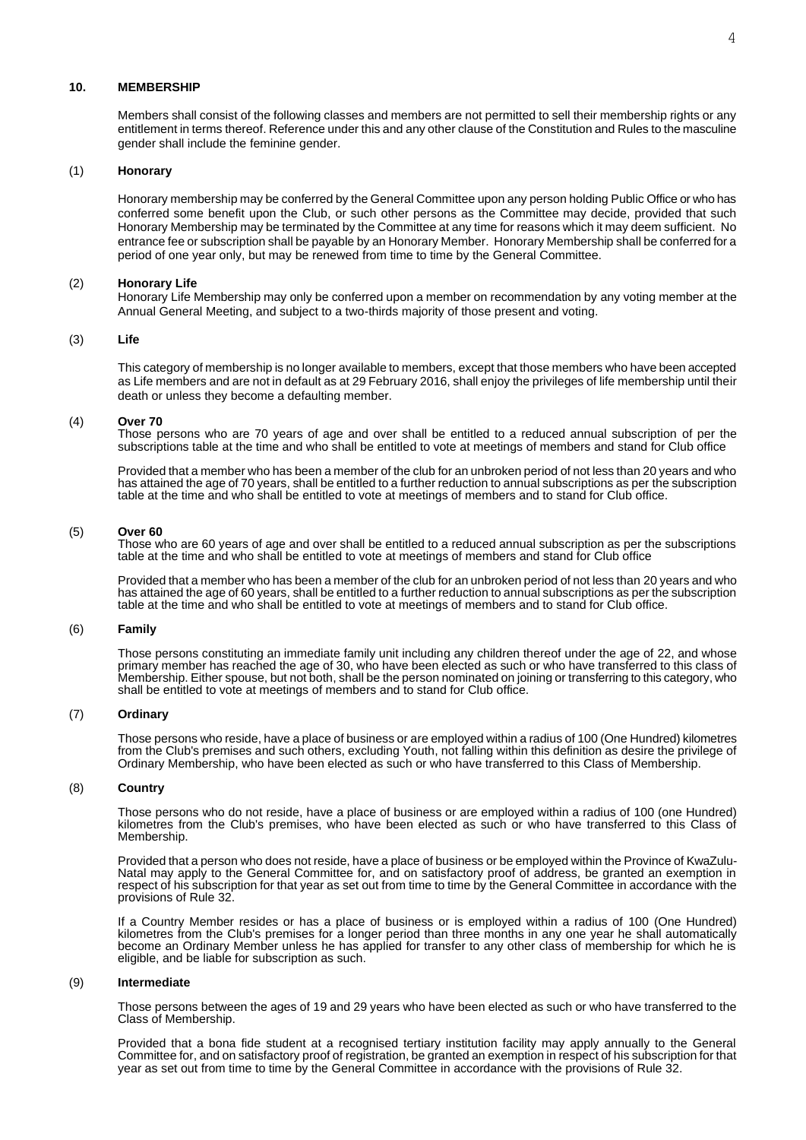#### **10. MEMBERSHIP**

Members shall consist of the following classes and members are not permitted to sell their membership rights or any entitlement in terms thereof. Reference under this and any other clause of the Constitution and Rules to the masculine gender shall include the feminine gender.

#### (1) **Honorary**

Honorary membership may be conferred by the General Committee upon any person holding Public Office or who has conferred some benefit upon the Club, or such other persons as the Committee may decide, provided that such Honorary Membership may be terminated by the Committee at any time for reasons which it may deem sufficient. No entrance fee or subscription shall be payable by an Honorary Member. Honorary Membership shall be conferred for a period of one year only, but may be renewed from time to time by the General Committee.

#### (2) **Honorary Life**

Honorary Life Membership may only be conferred upon a member on recommendation by any voting member at the Annual General Meeting, and subject to a two-thirds majority of those present and voting.

### (3) **Life**

This category of membership is no longer available to members, except that those members who have been accepted as Life members and are not in default as at 29 February 2016, shall enjoy the privileges of life membership until their death or unless they become a defaulting member.

#### (4) **Over 70**

Those persons who are 70 years of age and over shall be entitled to a reduced annual subscription of per the subscriptions table at the time and who shall be entitled to vote at meetings of members and stand for Club office

Provided that a member who has been a member of the club for an unbroken period of not less than 20 years and who has attained the age of 70 years, shall be entitled to a further reduction to annual subscriptions as per the subscription table at the time and who shall be entitled to vote at meetings of members and to stand for Club office.

#### (5) **Over 60**

Those who are 60 years of age and over shall be entitled to a reduced annual subscription as per the subscriptions table at the time and who shall be entitled to vote at meetings of members and stand for Club office

Provided that a member who has been a member of the club for an unbroken period of not less than 20 years and who has attained the age of 60 years, shall be entitled to a further reduction to annual subscriptions as per the subscription table at the time and who shall be entitled to vote at meetings of members and to stand for Club office.

#### (6) **Family**

Those persons constituting an immediate family unit including any children thereof under the age of 22, and whose primary member has reached the age of 30, who have been elected as such or who have transferred to this class of Membership. Either spouse, but not both, shall be the person nominated on joining or transferring to this category, who shall be entitled to vote at meetings of members and to stand for Club office.

#### (7) **Ordinary**

Those persons who reside, have a place of business or are employed within a radius of 100 (One Hundred) kilometres from the Club's premises and such others, excluding Youth, not falling within this definition as desire the privilege of Ordinary Membership, who have been elected as such or who have transferred to this Class of Membership.

#### (8) **Country**

Those persons who do not reside, have a place of business or are employed within a radius of 100 (one Hundred) kilometres from the Club's premises, who have been elected as such or who have transferred to this Class of Membership.

Provided that a person who does not reside, have a place of business or be employed within the Province of KwaZulu-Natal may apply to the General Committee for, and on satisfactory proof of address, be granted an exemption in respect of his subscription for that year as set out from time to time by the General Committee in accordance with the provisions of Rule 32.

If a Country Member resides or has a place of business or is employed within a radius of 100 (One Hundred) kilometres from the Club's premises for a longer period than three months in any one year he shall automatically become an Ordinary Member unless he has applied for transfer to any other class of membership for which he is eligible, and be liable for subscription as such.

#### (9) **Intermediate**

Those persons between the ages of 19 and 29 years who have been elected as such or who have transferred to the Class of Membership.

Provided that a bona fide student at a recognised tertiary institution facility may apply annually to the General Committee for, and on satisfactory proof of registration, be granted an exemption in respect of his subscription for that year as set out from time to time by the General Committee in accordance with the provisions of Rule 32.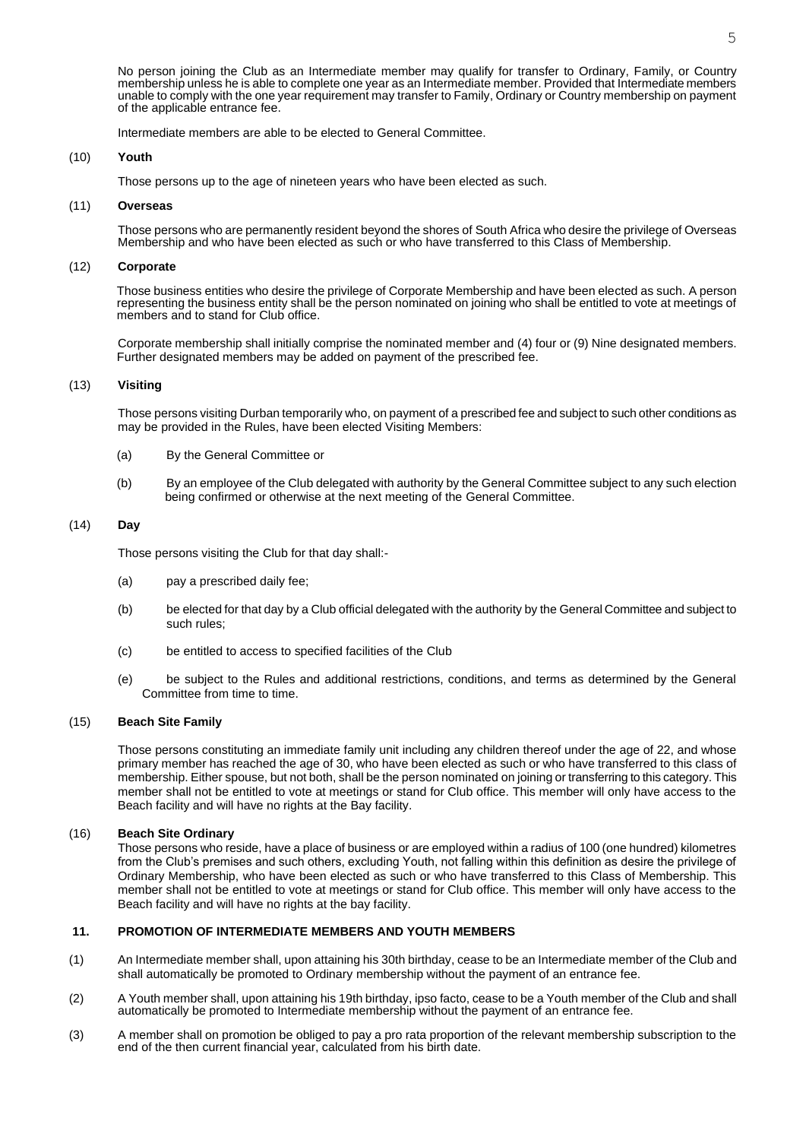No person joining the Club as an Intermediate member may qualify for transfer to Ordinary, Family, or Country membership unless he is able to complete one year as an Intermediate member. Provided that Intermediate members unable to comply with the one year requirement may transfer to Family, Ordinary or Country membership on payment of the applicable entrance fee.

Intermediate members are able to be elected to General Committee.

### (10) **Youth**

Those persons up to the age of nineteen years who have been elected as such.

### (11) **Overseas**

Those persons who are permanently resident beyond the shores of South Africa who desire the privilege of Overseas Membership and who have been elected as such or who have transferred to this Class of Membership.

### (12) **Corporate**

Those business entities who desire the privilege of Corporate Membership and have been elected as such. A person representing the business entity shall be the person nominated on joining who shall be entitled to vote at meetings of members and to stand for Club office.

Corporate membership shall initially comprise the nominated member and (4) four or (9) Nine designated members. Further designated members may be added on payment of the prescribed fee.

### (13) **Visiting**

Those persons visiting Durban temporarily who, on payment of a prescribed fee and subject to such other conditions as may be provided in the Rules, have been elected Visiting Members:

- (a) By the General Committee or
- (b) By an employee of the Club delegated with authority by the General Committee subject to any such election being confirmed or otherwise at the next meeting of the General Committee.

### (14) **Day**

Those persons visiting the Club for that day shall:-

- (a) pay a prescribed daily fee;
- (b) be elected for that day by a Club official delegated with the authority by the General Committee and subject to such rules;
- (c) be entitled to access to specified facilities of the Club
- (e) be subject to the Rules and additional restrictions, conditions, and terms as determined by the General Committee from time to time.

#### (15) **Beach Site Family**

Those persons constituting an immediate family unit including any children thereof under the age of 22, and whose primary member has reached the age of 30, who have been elected as such or who have transferred to this class of membership. Either spouse, but not both, shall be the person nominated on joining or transferring to this category. This member shall not be entitled to vote at meetings or stand for Club office. This member will only have access to the Beach facility and will have no rights at the Bay facility.

#### (16) **Beach Site Ordinary**

Those persons who reside, have a place of business or are employed within a radius of 100 (one hundred) kilometres from the Club's premises and such others, excluding Youth, not falling within this definition as desire the privilege of Ordinary Membership, who have been elected as such or who have transferred to this Class of Membership. This member shall not be entitled to vote at meetings or stand for Club office. This member will only have access to the Beach facility and will have no rights at the bay facility.

### **11. PROMOTION OF INTERMEDIATE MEMBERS AND YOUTH MEMBERS**

- (1) An Intermediate member shall, upon attaining his 30th birthday, cease to be an Intermediate member of the Club and shall automatically be promoted to Ordinary membership without the payment of an entrance fee.
- (2) A Youth member shall, upon attaining his 19th birthday, ipso facto, cease to be a Youth member of the Club and shall automatically be promoted to Intermediate membership without the payment of an entrance fee.
- (3) A member shall on promotion be obliged to pay a pro rata proportion of the relevant membership subscription to the end of the then current financial year, calculated from his birth date.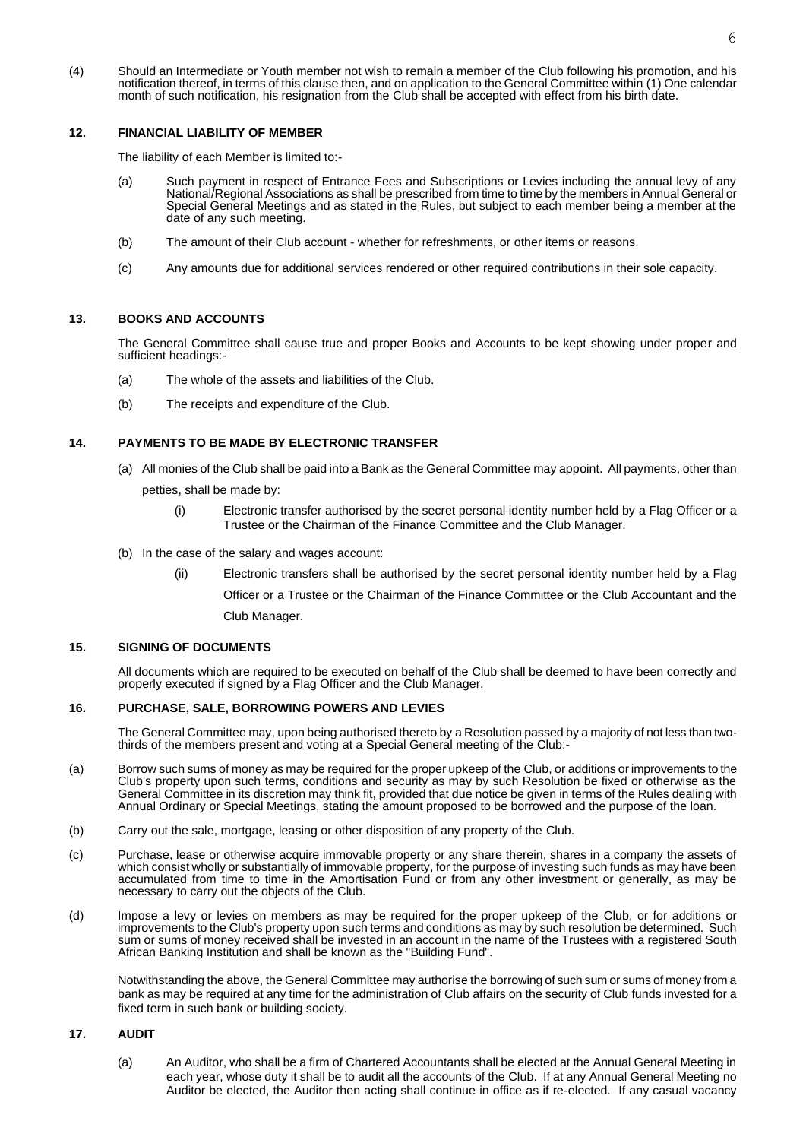(4) Should an Intermediate or Youth member not wish to remain a member of the Club following his promotion, and his notification thereof, in terms of this clause then, and on application to the General Committee within (1) One calendar month of such notification, his resignation from the Club shall be accepted with effect from his birth date.

#### **12. FINANCIAL LIABILITY OF MEMBER**

The liability of each Member is limited to:-

- (a) Such payment in respect of Entrance Fees and Subscriptions or Levies including the annual levy of any National/Regional Associations as shall be prescribed from time to time by the members in Annual General or Special General Meetings and as stated in the Rules, but subject to each member being a member at the date of any such meeting.
- (b) The amount of their Club account whether for refreshments, or other items or reasons.
- (c) Any amounts due for additional services rendered or other required contributions in their sole capacity.

### **13. BOOKS AND ACCOUNTS**

The General Committee shall cause true and proper Books and Accounts to be kept showing under proper and sufficient headings:-

- (a) The whole of the assets and liabilities of the Club.
- (b) The receipts and expenditure of the Club.

### **14. PAYMENTS TO BE MADE BY ELECTRONIC TRANSFER**

- (a) All monies of the Club shall be paid into a Bank as the General Committee may appoint. All payments, other than petties, shall be made by:
	- (i) Electronic transfer authorised by the secret personal identity number held by a Flag Officer or a Trustee or the Chairman of the Finance Committee and the Club Manager.
- (b) In the case of the salary and wages account:
	- (ii) Electronic transfers shall be authorised by the secret personal identity number held by a Flag Officer or a Trustee or the Chairman of the Finance Committee or the Club Accountant and the

Club Manager.

### **15. SIGNING OF DOCUMENTS**

All documents which are required to be executed on behalf of the Club shall be deemed to have been correctly and properly executed if signed by a Flag Officer and the Club Manager.

#### **16. PURCHASE, SALE, BORROWING POWERS AND LEVIES**

The General Committee may, upon being authorised thereto by a Resolution passed by a majority of not less than twothirds of the members present and voting at a Special General meeting of the Club:-

- (a) Borrow such sums of money as may be required for the proper upkeep of the Club, or additions or improvements to the Club's property upon such terms, conditions and security as may by such Resolution be fixed or otherwise as the General Committee in its discretion may think fit, provided that due notice be given in terms of the Rules dealing with Annual Ordinary or Special Meetings, stating the amount proposed to be borrowed and the purpose of the loan.
- (b) Carry out the sale, mortgage, leasing or other disposition of any property of the Club.
- (c) Purchase, lease or otherwise acquire immovable property or any share therein, shares in a company the assets of which consist wholly or substantially of immovable property, for the purpose of investing such funds as may have been accumulated from time to time in the Amortisation Fund or from any other investment or generally, as may be necessary to carry out the objects of the Club.
- (d) Impose a levy or levies on members as may be required for the proper upkeep of the Club, or for additions or improvements to the Club's property upon such terms and conditions as may by such resolution be determined. Such sum or sums of money received shall be invested in an account in the name of the Trustees with a registered South African Banking Institution and shall be known as the "Building Fund".

Notwithstanding the above, the General Committee may authorise the borrowing of such sum or sums of money from a bank as may be required at any time for the administration of Club affairs on the security of Club funds invested for a fixed term in such bank or building society.

#### **17. AUDIT**

(a) An Auditor, who shall be a firm of Chartered Accountants shall be elected at the Annual General Meeting in each year, whose duty it shall be to audit all the accounts of the Club. If at any Annual General Meeting no Auditor be elected, the Auditor then acting shall continue in office as if re-elected. If any casual vacancy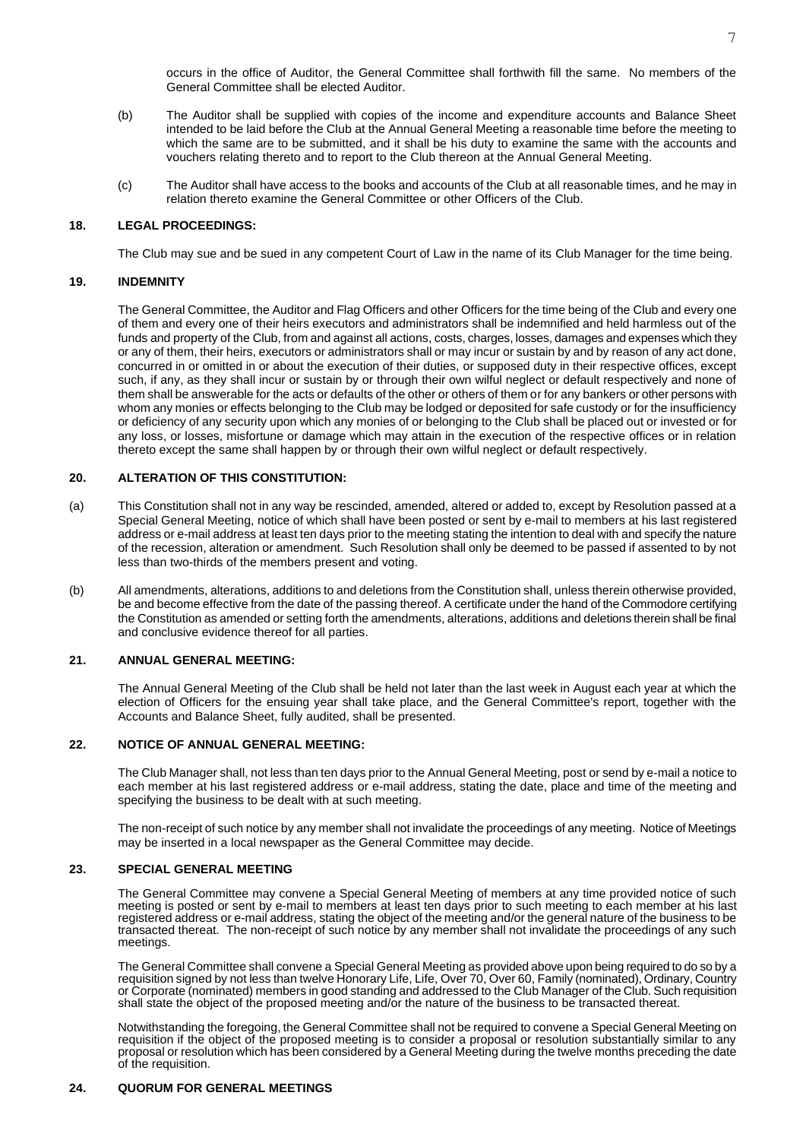occurs in the office of Auditor, the General Committee shall forthwith fill the same. No members of the General Committee shall be elected Auditor.

- (b) The Auditor shall be supplied with copies of the income and expenditure accounts and Balance Sheet intended to be laid before the Club at the Annual General Meeting a reasonable time before the meeting to which the same are to be submitted, and it shall be his duty to examine the same with the accounts and vouchers relating thereto and to report to the Club thereon at the Annual General Meeting.
- (c) The Auditor shall have access to the books and accounts of the Club at all reasonable times, and he may in relation thereto examine the General Committee or other Officers of the Club.

### **18. LEGAL PROCEEDINGS:**

The Club may sue and be sued in any competent Court of Law in the name of its Club Manager for the time being.

#### **19. INDEMNITY**

The General Committee, the Auditor and Flag Officers and other Officers for the time being of the Club and every one of them and every one of their heirs executors and administrators shall be indemnified and held harmless out of the funds and property of the Club, from and against all actions, costs, charges, losses, damages and expenses which they or any of them, their heirs, executors or administrators shall or may incur or sustain by and by reason of any act done, concurred in or omitted in or about the execution of their duties, or supposed duty in their respective offices, except such, if any, as they shall incur or sustain by or through their own wilful neglect or default respectively and none of them shall be answerable for the acts or defaults of the other or others of them or for any bankers or other persons with whom any monies or effects belonging to the Club may be lodged or deposited for safe custody or for the insufficiency or deficiency of any security upon which any monies of or belonging to the Club shall be placed out or invested or for any loss, or losses, misfortune or damage which may attain in the execution of the respective offices or in relation thereto except the same shall happen by or through their own wilful neglect or default respectively.

#### **20. ALTERATION OF THIS CONSTITUTION:**

- (a) This Constitution shall not in any way be rescinded, amended, altered or added to, except by Resolution passed at a Special General Meeting, notice of which shall have been posted or sent by e-mail to members at his last registered address or e-mail address at least ten days prior to the meeting stating the intention to deal with and specify the nature of the recession, alteration or amendment. Such Resolution shall only be deemed to be passed if assented to by not less than two-thirds of the members present and voting.
- (b) All amendments, alterations, additions to and deletions from the Constitution shall, unless therein otherwise provided, be and become effective from the date of the passing thereof. A certificate under the hand of the Commodore certifying the Constitution as amended or setting forth the amendments, alterations, additions and deletions therein shall be final and conclusive evidence thereof for all parties.

#### **21. ANNUAL GENERAL MEETING:**

The Annual General Meeting of the Club shall be held not later than the last week in August each year at which the election of Officers for the ensuing year shall take place, and the General Committee's report, together with the Accounts and Balance Sheet, fully audited, shall be presented.

#### **22. NOTICE OF ANNUAL GENERAL MEETING:**

The Club Manager shall, not less than ten days prior to the Annual General Meeting, post or send by e-mail a notice to each member at his last registered address or e-mail address, stating the date, place and time of the meeting and specifying the business to be dealt with at such meeting.

The non-receipt of such notice by any member shall not invalidate the proceedings of any meeting. Notice of Meetings may be inserted in a local newspaper as the General Committee may decide.

### **23. SPECIAL GENERAL MEETING**

The General Committee may convene a Special General Meeting of members at any time provided notice of such meeting is posted or sent by e-mail to members at least ten days prior to such meeting to each member at his last registered address or e-mail address, stating the object of the meeting and/or the general nature of the business to be transacted thereat. The non-receipt of such notice by any member shall not invalidate the proceedings of any such meetings.

The General Committee shall convene a Special General Meeting as provided above upon being required to do so by a requisition signed by not less than twelve Honorary Life, Life, Over 70, Over 60, Family (nominated), Ordinary, Country or Corporate (nominated) members in good standing and addressed to the Club Manager of the Club. Such requisition shall state the object of the proposed meeting and/or the nature of the business to be transacted thereat.

Notwithstanding the foregoing, the General Committee shall not be required to convene a Special General Meeting on requisition if the object of the proposed meeting is to consider a proposal or resolution substantially similar to any proposal or resolution which has been considered by a General Meeting during the twelve months preceding the date of the requisition.

### **24. QUORUM FOR GENERAL MEETINGS**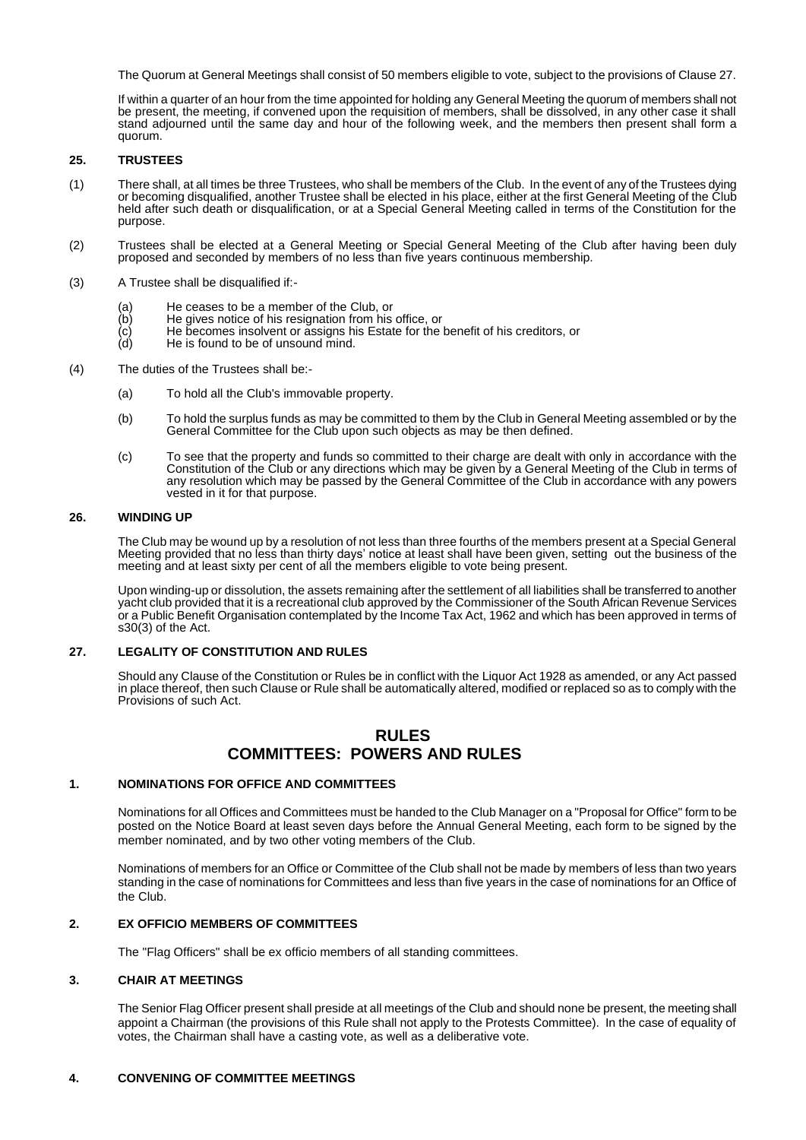The Quorum at General Meetings shall consist of 50 members eligible to vote, subject to the provisions of Clause 27.

If within a quarter of an hour from the time appointed for holding any General Meeting the quorum of members shall not be present, the meeting, if convened upon the requisition of members, shall be dissolved, in any other case it shall stand adjourned until the same day and hour of the following week, and the members then present shall form a quorum.

### **25. TRUSTEES**

- (1) There shall, at all times be three Trustees, who shall be members of the Club. In the event of any of the Trustees dying or becoming disqualified, another Trustee shall be elected in his place, either at the first General Meeting of the Club held after such death or disqualification, or at a Special General Meeting called in terms of the Constitution for the purpose.
- (2) Trustees shall be elected at a General Meeting or Special General Meeting of the Club after having been duly proposed and seconded by members of no less than five years continuous membership.
- (3) A Trustee shall be disqualified if:-
	- (a) He ceases to be a member of the Club, or<br>(b) He gives notice of his resignation from his
	-
	- $\begin{array}{lll} \text{(b)} & \text{He gives notice of his resignation from his office, or} \\ \text{(c)} & \text{He becomes insolvent or assigns his Estate for the} \\ \text{(d)} & \text{He is found to be of unsound mind.} \end{array}$ He becomes insolvent or assigns his Estate for the benefit of his creditors, or
	- He is found to be of unsound mind.
- (4) The duties of the Trustees shall be:-
	- (a) To hold all the Club's immovable property.
	- (b) To hold the surplus funds as may be committed to them by the Club in General Meeting assembled or by the General Committee for the Club upon such objects as may be then defined.
	- (c) To see that the property and funds so committed to their charge are dealt with only in accordance with the Constitution of the Club or any directions which may be given by a General Meeting of the Club in terms of any resolution which may be passed by the General Committee of the Club in accordance with any powers vested in it for that purpose.

#### **26. WINDING UP**

The Club may be wound up by a resolution of not less than three fourths of the members present at a Special General Meeting provided that no less than thirty days' notice at least shall have been given, setting out the business of the meeting and at least sixty per cent of all the members eligible to vote being present.

Upon winding-up or dissolution, the assets remaining after the settlement of all liabilities shall be transferred to another yacht club provided that it is a recreational club approved by the Commissioner of the South African Revenue Services or a Public Benefit Organisation contemplated by the Income Tax Act, 1962 and which has been approved in terms of s30(3) of the Act.

### **27. LEGALITY OF CONSTITUTION AND RULES**

Should any Clause of the Constitution or Rules be in conflict with the Liquor Act 1928 as amended, or any Act passed in place thereof, then such Clause or Rule shall be automatically altered, modified or replaced so as to comply with the Provisions of such Act.

# **RULES COMMITTEES: POWERS AND RULES**

### **1. NOMINATIONS FOR OFFICE AND COMMITTEES**

Nominations for all Offices and Committees must be handed to the Club Manager on a "Proposal for Office" form to be posted on the Notice Board at least seven days before the Annual General Meeting, each form to be signed by the member nominated, and by two other voting members of the Club.

Nominations of members for an Office or Committee of the Club shall not be made by members of less than two years standing in the case of nominations for Committees and less than five years in the case of nominations for an Office of the Club.

### **2. EX OFFICIO MEMBERS OF COMMITTEES**

The "Flag Officers" shall be ex officio members of all standing committees.

### **3. CHAIR AT MEETINGS**

The Senior Flag Officer present shall preside at all meetings of the Club and should none be present, the meeting shall appoint a Chairman (the provisions of this Rule shall not apply to the Protests Committee). In the case of equality of votes, the Chairman shall have a casting vote, as well as a deliberative vote.

### **4. CONVENING OF COMMITTEE MEETINGS**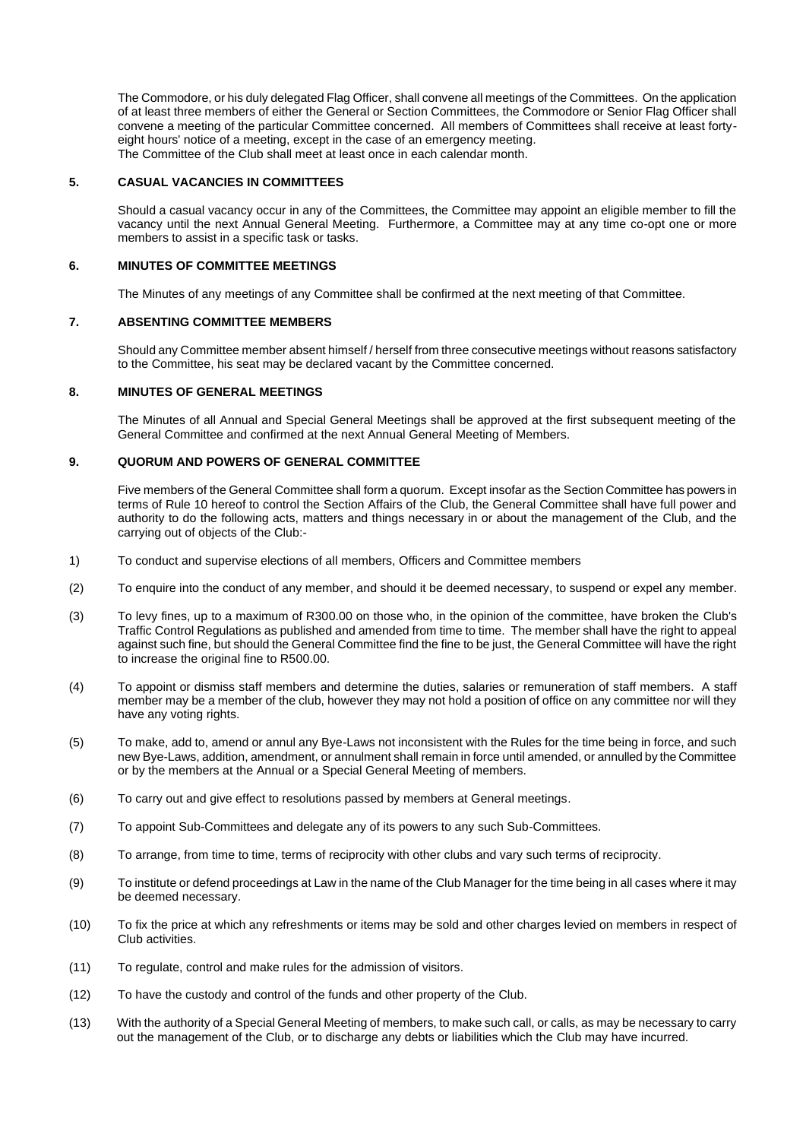The Commodore, or his duly delegated Flag Officer, shall convene all meetings of the Committees. On the application of at least three members of either the General or Section Committees, the Commodore or Senior Flag Officer shall convene a meeting of the particular Committee concerned. All members of Committees shall receive at least fortyeight hours' notice of a meeting, except in the case of an emergency meeting. The Committee of the Club shall meet at least once in each calendar month.

### **5. CASUAL VACANCIES IN COMMITTEES**

Should a casual vacancy occur in any of the Committees, the Committee may appoint an eligible member to fill the vacancy until the next Annual General Meeting. Furthermore, a Committee may at any time co-opt one or more members to assist in a specific task or tasks.

### **6. MINUTES OF COMMITTEE MEETINGS**

The Minutes of any meetings of any Committee shall be confirmed at the next meeting of that Committee.

#### **7. ABSENTING COMMITTEE MEMBERS**

Should any Committee member absent himself / herself from three consecutive meetings without reasons satisfactory to the Committee, his seat may be declared vacant by the Committee concerned.

### **8. MINUTES OF GENERAL MEETINGS**

The Minutes of all Annual and Special General Meetings shall be approved at the first subsequent meeting of the General Committee and confirmed at the next Annual General Meeting of Members.

### **9. QUORUM AND POWERS OF GENERAL COMMITTEE**

Five members of the General Committee shall form a quorum. Except insofar as the Section Committee has powers in terms of Rule 10 hereof to control the Section Affairs of the Club, the General Committee shall have full power and authority to do the following acts, matters and things necessary in or about the management of the Club, and the carrying out of objects of the Club:-

- 1) To conduct and supervise elections of all members, Officers and Committee members
- (2) To enquire into the conduct of any member, and should it be deemed necessary, to suspend or expel any member.
- (3) To levy fines, up to a maximum of R300.00 on those who, in the opinion of the committee, have broken the Club's Traffic Control Regulations as published and amended from time to time. The member shall have the right to appeal against such fine, but should the General Committee find the fine to be just, the General Committee will have the right to increase the original fine to R500.00.
- (4) To appoint or dismiss staff members and determine the duties, salaries or remuneration of staff members. A staff member may be a member of the club, however they may not hold a position of office on any committee nor will they have any voting rights.
- (5) To make, add to, amend or annul any Bye-Laws not inconsistent with the Rules for the time being in force, and such new Bye-Laws, addition, amendment, or annulment shall remain in force until amended, or annulled by the Committee or by the members at the Annual or a Special General Meeting of members.
- (6) To carry out and give effect to resolutions passed by members at General meetings.
- (7) To appoint Sub-Committees and delegate any of its powers to any such Sub-Committees.
- (8) To arrange, from time to time, terms of reciprocity with other clubs and vary such terms of reciprocity.
- (9) To institute or defend proceedings at Law in the name of the Club Manager for the time being in all cases where it may be deemed necessary.
- (10) To fix the price at which any refreshments or items may be sold and other charges levied on members in respect of Club activities.
- (11) To regulate, control and make rules for the admission of visitors.
- (12) To have the custody and control of the funds and other property of the Club.
- (13) With the authority of a Special General Meeting of members, to make such call, or calls, as may be necessary to carry out the management of the Club, or to discharge any debts or liabilities which the Club may have incurred.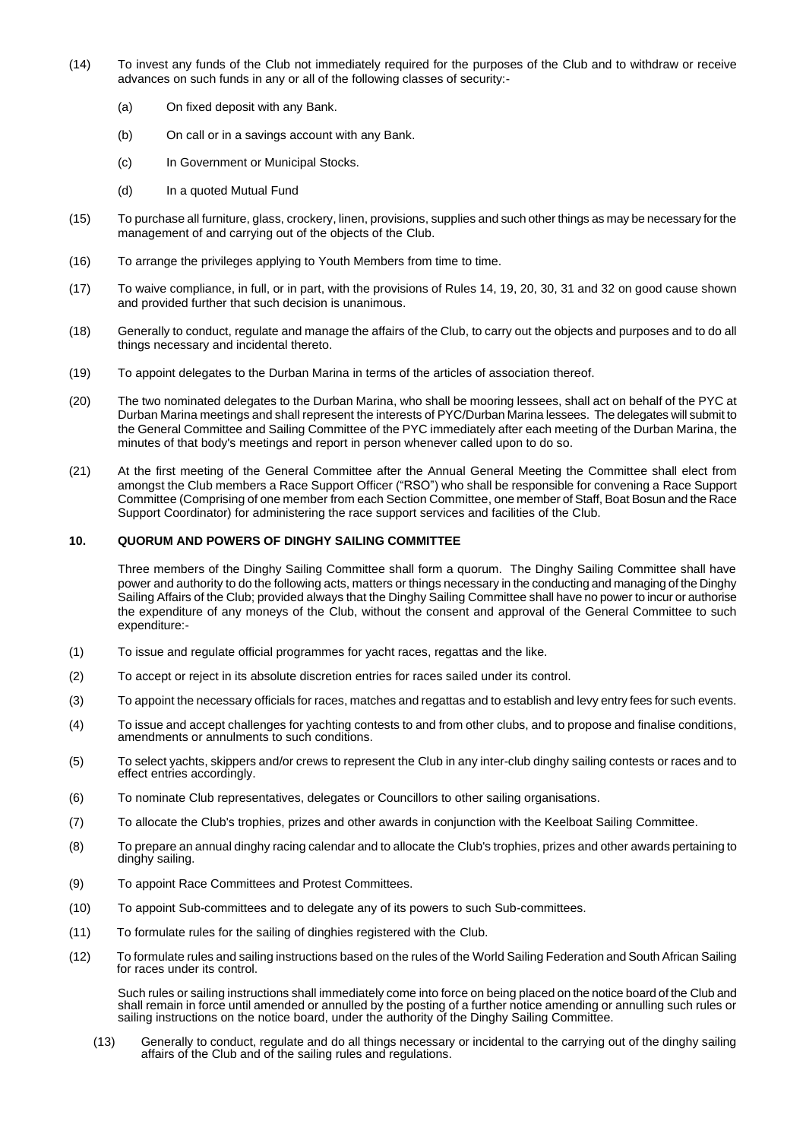- (14) To invest any funds of the Club not immediately required for the purposes of the Club and to withdraw or receive advances on such funds in any or all of the following classes of security:-
	- (a) On fixed deposit with any Bank.
	- (b) On call or in a savings account with any Bank.
	- (c) In Government or Municipal Stocks.
	- (d) In a quoted Mutual Fund
- (15) To purchase all furniture, glass, crockery, linen, provisions, supplies and such other things as may be necessary for the management of and carrying out of the objects of the Club.
- (16) To arrange the privileges applying to Youth Members from time to time.
- (17) To waive compliance, in full, or in part, with the provisions of Rules 14, 19, 20, 30, 31 and 32 on good cause shown and provided further that such decision is unanimous.
- (18) Generally to conduct, regulate and manage the affairs of the Club, to carry out the objects and purposes and to do all things necessary and incidental thereto.
- (19) To appoint delegates to the Durban Marina in terms of the articles of association thereof.
- (20) The two nominated delegates to the Durban Marina, who shall be mooring lessees, shall act on behalf of the PYC at Durban Marina meetings and shall represent the interests of PYC/Durban Marina lessees. The delegates will submit to the General Committee and Sailing Committee of the PYC immediately after each meeting of the Durban Marina, the minutes of that body's meetings and report in person whenever called upon to do so.
- (21) At the first meeting of the General Committee after the Annual General Meeting the Committee shall elect from amongst the Club members a Race Support Officer ("RSO") who shall be responsible for convening a Race Support Committee (Comprising of one member from each Section Committee, one member of Staff, Boat Bosun and the Race Support Coordinator) for administering the race support services and facilities of the Club.

### **10. QUORUM AND POWERS OF DINGHY SAILING COMMITTEE**

Three members of the Dinghy Sailing Committee shall form a quorum. The Dinghy Sailing Committee shall have power and authority to do the following acts, matters or things necessary in the conducting and managing of the Dinghy Sailing Affairs of the Club; provided always that the Dinghy Sailing Committee shall have no power to incur or authorise the expenditure of any moneys of the Club, without the consent and approval of the General Committee to such expenditure:-

- (1) To issue and regulate official programmes for yacht races, regattas and the like.
- (2) To accept or reject in its absolute discretion entries for races sailed under its control.
- (3) To appoint the necessary officials for races, matches and regattas and to establish and levy entry fees for such events.
- (4) To issue and accept challenges for yachting contests to and from other clubs, and to propose and finalise conditions, amendments or annulments to such conditions.
- (5) To select yachts, skippers and/or crews to represent the Club in any inter-club dinghy sailing contests or races and to effect entries accordingly.
- (6) To nominate Club representatives, delegates or Councillors to other sailing organisations.
- (7) To allocate the Club's trophies, prizes and other awards in conjunction with the Keelboat Sailing Committee.
- (8) To prepare an annual dinghy racing calendar and to allocate the Club's trophies, prizes and other awards pertaining to dinghy sailing.
- (9) To appoint Race Committees and Protest Committees.
- (10) To appoint Sub-committees and to delegate any of its powers to such Sub-committees.
- (11) To formulate rules for the sailing of dinghies registered with the Club.
- (12) To formulate rules and sailing instructions based on the rules of the World Sailing Federation and South African Sailing for races under its control.

Such rules or sailing instructions shall immediately come into force on being placed on the notice board of the Club and shall remain in force until amended or annulled by the posting of a further notice amending or annulling such rules or sailing instructions on the notice board, under the authority of the Dinghy Sailing Committee.

(13) Generally to conduct, regulate and do all things necessary or incidental to the carrying out of the dinghy sailing affairs of the Club and of the sailing rules and regulations.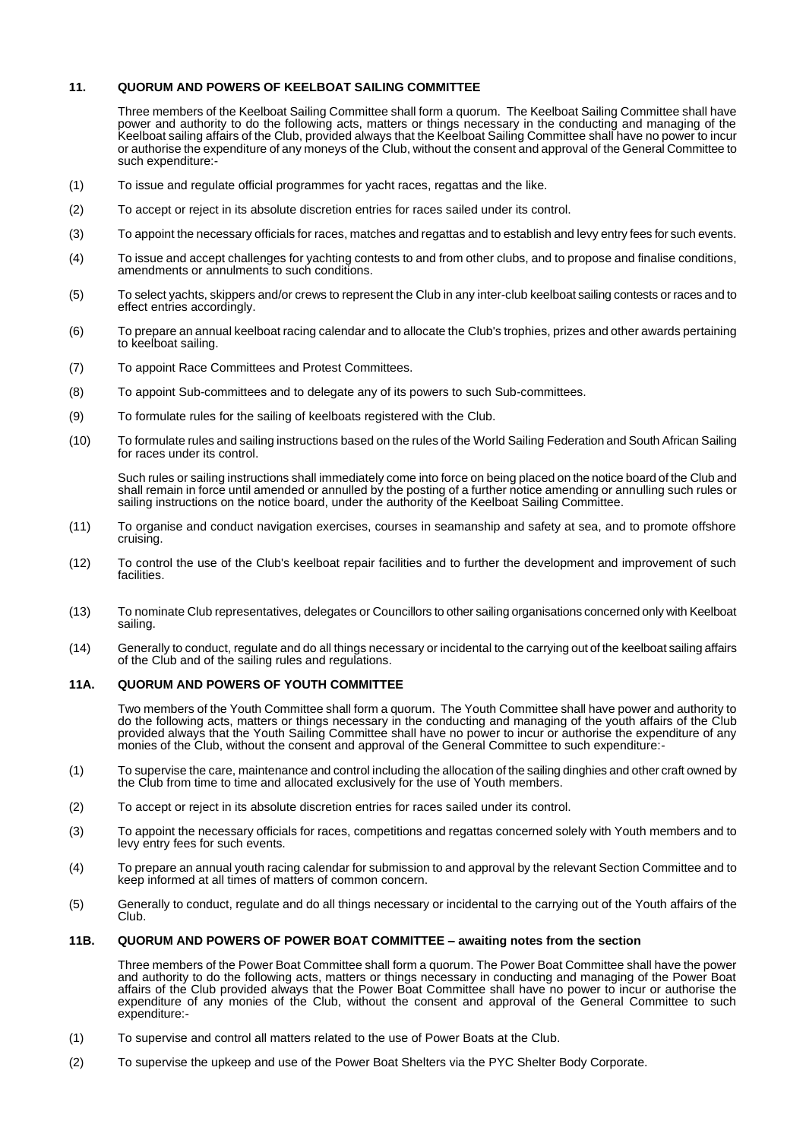### **11. QUORUM AND POWERS OF KEELBOAT SAILING COMMITTEE**

Three members of the Keelboat Sailing Committee shall form a quorum. The Keelboat Sailing Committee shall have power and authority to do the following acts, matters or things necessary in the conducting and managing of the Keelboat sailing affairs of the Club, provided always that the Keelboat Sailing Committee shall have no power to incur or authorise the expenditure of any moneys of the Club, without the consent and approval of the General Committee to such expenditure:-

- (1) To issue and regulate official programmes for yacht races, regattas and the like.
- (2) To accept or reject in its absolute discretion entries for races sailed under its control.
- (3) To appoint the necessary officials for races, matches and regattas and to establish and levy entry fees for such events.
- (4) To issue and accept challenges for yachting contests to and from other clubs, and to propose and finalise conditions, amendments or annulments to such conditions.
- (5) To select yachts, skippers and/or crews to represent the Club in any inter-club keelboat sailing contests or races and to effect entries accordingly.
- (6) To prepare an annual keelboat racing calendar and to allocate the Club's trophies, prizes and other awards pertaining to keelboat sailing.
- (7) To appoint Race Committees and Protest Committees.
- (8) To appoint Sub-committees and to delegate any of its powers to such Sub-committees.
- (9) To formulate rules for the sailing of keelboats registered with the Club.
- (10) To formulate rules and sailing instructions based on the rules of the World Sailing Federation and South African Sailing for races under its control.

Such rules or sailing instructions shall immediately come into force on being placed on the notice board of the Club and shall remain in force until amended or annulled by the posting of a further notice amending or annulling such rules or sailing instructions on the notice board, under the authority of the Keelboat Sailing Committee.

- (11) To organise and conduct navigation exercises, courses in seamanship and safety at sea, and to promote offshore cruising.
- (12) To control the use of the Club's keelboat repair facilities and to further the development and improvement of such facilities.
- (13) To nominate Club representatives, delegates or Councillors to other sailing organisations concerned only with Keelboat sailing.
- (14) Generally to conduct, regulate and do all things necessary or incidental to the carrying out of the keelboat sailing affairs of the Club and of the sailing rules and regulations.

#### **11A. QUORUM AND POWERS OF YOUTH COMMITTEE**

Two members of the Youth Committee shall form a quorum. The Youth Committee shall have power and authority to do the following acts, matters or things necessary in the conducting and managing of the youth affairs of the Club provided always that the Youth Sailing Committee shall have no power to incur or authorise the expenditure of any monies of the Club, without the consent and approval of the General Committee to such expenditure:-

- (1) To supervise the care, maintenance and control including the allocation of the sailing dinghies and other craft owned by the Club from time to time and allocated exclusively for the use of Youth members.
- (2) To accept or reject in its absolute discretion entries for races sailed under its control.
- (3) To appoint the necessary officials for races, competitions and regattas concerned solely with Youth members and to levy entry fees for such events.
- (4) To prepare an annual youth racing calendar for submission to and approval by the relevant Section Committee and to keep informed at all times of matters of common concern.
- (5) Generally to conduct, regulate and do all things necessary or incidental to the carrying out of the Youth affairs of the Club.

### **11B. QUORUM AND POWERS OF POWER BOAT COMMITTEE – awaiting notes from the section**

Three members of the Power Boat Committee shall form a quorum. The Power Boat Committee shall have the power and authority to do the following acts, matters or things necessary in conducting and managing of the Power Boat affairs of the Club provided always that the Power Boat Committee shall have no power to incur or authorise the expenditure of any monies of the Club, without the consent and approval of the General Committee to such expenditure:-

- (1) To supervise and control all matters related to the use of Power Boats at the Club.
- (2) To supervise the upkeep and use of the Power Boat Shelters via the PYC Shelter Body Corporate.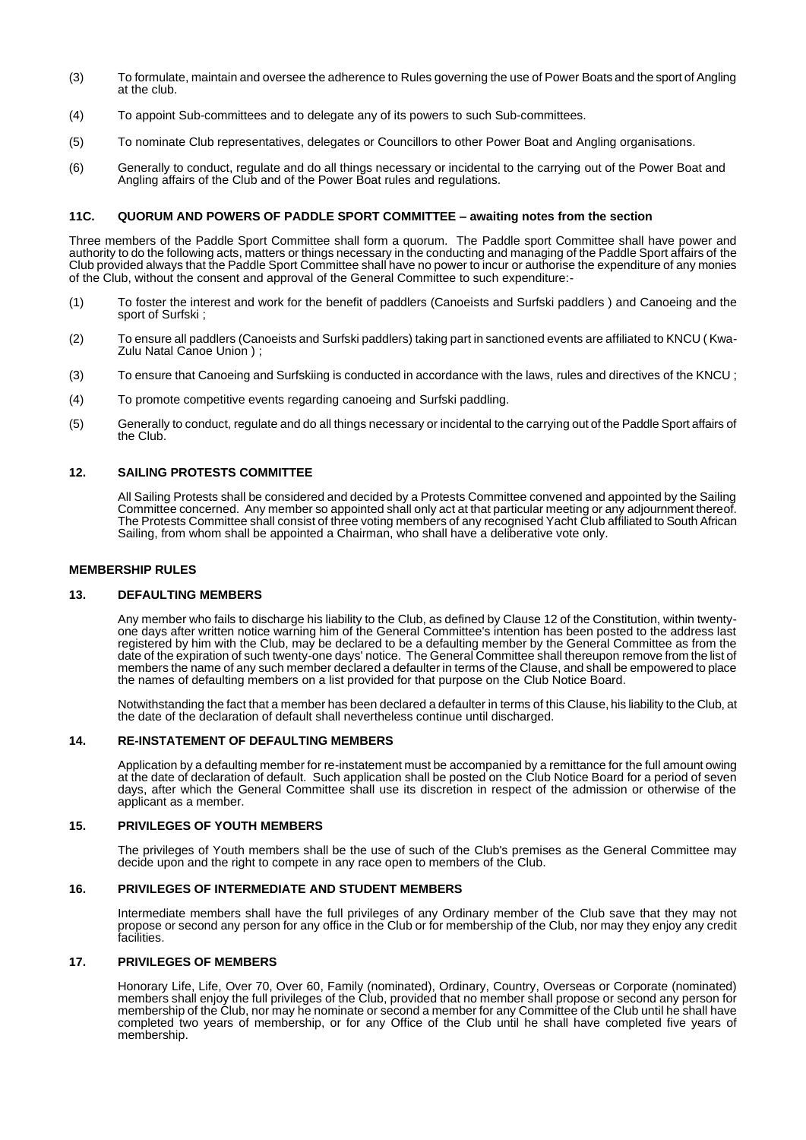- (3) To formulate, maintain and oversee the adherence to Rules governing the use of Power Boats and the sport of Angling at the club.
- (4) To appoint Sub-committees and to delegate any of its powers to such Sub-committees.
- (5) To nominate Club representatives, delegates or Councillors to other Power Boat and Angling organisations.
- (6) Generally to conduct, regulate and do all things necessary or incidental to the carrying out of the Power Boat and Angling affairs of the Club and of the Power Boat rules and regulations.

#### **11C. QUORUM AND POWERS OF PADDLE SPORT COMMITTEE – awaiting notes from the section**

Three members of the Paddle Sport Committee shall form a quorum. The Paddle sport Committee shall have power and authority to do the following acts, matters or things necessary in the conducting and managing of the Paddle Sport affairs of the Club provided always that the Paddle Sport Committee shall have no power to incur or authorise the expenditure of any monies of the Club, without the consent and approval of the General Committee to such expenditure:-

- (1) To foster the interest and work for the benefit of paddlers (Canoeists and Surfski paddlers ) and Canoeing and the sport of Surfski ;
- (2) To ensure all paddlers (Canoeists and Surfski paddlers) taking part in sanctioned events are affiliated to KNCU ( Kwa-Zulu Natal Canoe Union ) ;
- (3) To ensure that Canoeing and Surfskiing is conducted in accordance with the laws, rules and directives of the KNCU ;
- (4) To promote competitive events regarding canoeing and Surfski paddling.
- (5) Generally to conduct, regulate and do all things necessary or incidental to the carrying out of the Paddle Sport affairs of the Club.

### **12. SAILING PROTESTS COMMITTEE**

All Sailing Protests shall be considered and decided by a Protests Committee convened and appointed by the Sailing Committee concerned. Any member so appointed shall only act at that particular meeting or any adjournment thereof. The Protests Committee shall consist of three voting members of any recognised Yacht Club affiliated to South African Sailing, from whom shall be appointed a Chairman, who shall have a deliberative vote only.

#### **MEMBERSHIP RULES**

#### **13. DEFAULTING MEMBERS**

Any member who fails to discharge his liability to the Club, as defined by Clause 12 of the Constitution, within twentyone days after written notice warning him of the General Committee's intention has been posted to the address last registered by him with the Club, may be declared to be a defaulting member by the General Committee as from the date of the expiration of such twenty-one days' notice. The General Committee shall thereupon remove from the list of members the name of any such member declared a defaulter in terms of the Clause, and shall be empowered to place the names of defaulting members on a list provided for that purpose on the Club Notice Board.

Notwithstanding the fact that a member has been declared a defaulter in terms of this Clause, his liability to the Club, at the date of the declaration of default shall nevertheless continue until discharged.

### **14. RE-INSTATEMENT OF DEFAULTING MEMBERS**

Application by a defaulting member for re-instatement must be accompanied by a remittance for the full amount owing at the date of declaration of default. Such application shall be posted on the Club Notice Board for a period of seven days, after which the General Committee shall use its discretion in respect of the admission or otherwise of the applicant as a member.

#### **15. PRIVILEGES OF YOUTH MEMBERS**

The privileges of Youth members shall be the use of such of the Club's premises as the General Committee may decide upon and the right to compete in any race open to members of the Club.

#### **16. PRIVILEGES OF INTERMEDIATE AND STUDENT MEMBERS**

Intermediate members shall have the full privileges of any Ordinary member of the Club save that they may not propose or second any person for any office in the Club or for membership of the Club, nor may they enjoy any credit facilities.

#### **17. PRIVILEGES OF MEMBERS**

Honorary Life, Life, Over 70, Over 60, Family (nominated), Ordinary, Country, Overseas or Corporate (nominated) members shall enjoy the full privileges of the Club, provided that no member shall propose or second any person for membership of the Club, nor may he nominate or second a member for any Committee of the Club until he shall have completed two years of membership, or for any Office of the Club until he shall have completed five years of membership.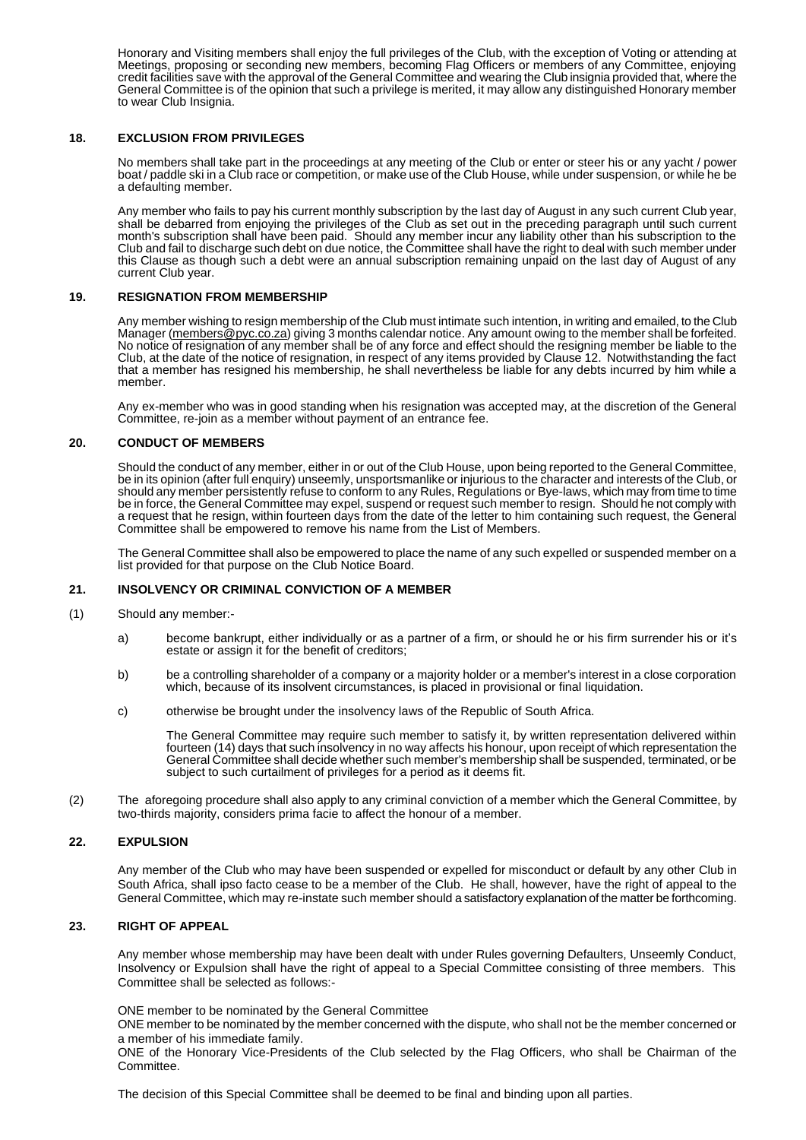Honorary and Visiting members shall enjoy the full privileges of the Club, with the exception of Voting or attending at Meetings, proposing or seconding new members, becoming Flag Officers or members of any Committee, enjoying credit facilities save with the approval of the General Committee and wearing the Club insignia provided that, where the General Committee is of the opinion that such a privilege is merited, it may allow any distinguished Honorary member to wear Club Insignia.

### **18. EXCLUSION FROM PRIVILEGES**

No members shall take part in the proceedings at any meeting of the Club or enter or steer his or any yacht / power boat / paddle ski in a Club race or competition, or make use of the Club House, while under suspension, or while he be a defaulting member.

Any member who fails to pay his current monthly subscription by the last day of August in any such current Club year, shall be debarred from enjoying the privileges of the Club as set out in the preceding paragraph until such current month's subscription shall have been paid. Should any member incur any liability other than his subscription to the Club and fail to discharge such debt on due notice, the Committee shall have the right to deal with such member under this Clause as though such a debt were an annual subscription remaining unpaid on the last day of August of any current Club year.

#### **19. RESIGNATION FROM MEMBERSHIP**

Any member wishing to resign membership of the Club must intimate such intention, in writing and emailed, to the Club Manager [\(members@pyc.co.za\)](mailto:members@pyc.co.za) giving 3 months calendar notice. Any amount owing to the member shall be forfeited. No notice of resignation of any member shall be of any force and effect should the resigning member be liable to the Club, at the date of the notice of resignation, in respect of any items provided by Clause 12. Notwithstanding the fact that a member has resigned his membership, he shall nevertheless be liable for any debts incurred by him while a member.

Any ex-member who was in good standing when his resignation was accepted may, at the discretion of the General Committee, re-join as a member without payment of an entrance fee.

#### **20. CONDUCT OF MEMBERS**

Should the conduct of any member, either in or out of the Club House, upon being reported to the General Committee, be in its opinion (after full enquiry) unseemly, unsportsmanlike or injurious to the character and interests of the Club, or should any member persistently refuse to conform to any Rules, Regulations or Bye-laws, which may from time to time be in force, the General Committee may expel, suspend or request such member to resign. Should he not comply with a request that he resign, within fourteen days from the date of the letter to him containing such request, the General Committee shall be empowered to remove his name from the List of Members.

The General Committee shall also be empowered to place the name of any such expelled or suspended member on a list provided for that purpose on the Club Notice Board.

### **21. INSOLVENCY OR CRIMINAL CONVICTION OF A MEMBER**

- (1) Should any member:
	- a) become bankrupt, either individually or as a partner of a firm, or should he or his firm surrender his or it's estate or assign it for the benefit of creditors;
	- b) be a controlling shareholder of a company or a majority holder or a member's interest in a close corporation which, because of its insolvent circumstances, is placed in provisional or final liquidation.
	- c) otherwise be brought under the insolvency laws of the Republic of South Africa.

The General Committee may require such member to satisfy it, by written representation delivered within fourteen (14) days that such insolvency in no way affects his honour, upon receipt of which representation the General Committee shall decide whether such member's membership shall be suspended, terminated, or be subject to such curtailment of privileges for a period as it deems fit.

(2) The aforegoing procedure shall also apply to any criminal conviction of a member which the General Committee, by two-thirds majority, considers prima facie to affect the honour of a member.

#### **22. EXPULSION**

Any member of the Club who may have been suspended or expelled for misconduct or default by any other Club in South Africa, shall ipso facto cease to be a member of the Club. He shall, however, have the right of appeal to the General Committee, which may re-instate such member should a satisfactory explanation of the matter be forthcoming.

#### **23. RIGHT OF APPEAL**

Any member whose membership may have been dealt with under Rules governing Defaulters, Unseemly Conduct, Insolvency or Expulsion shall have the right of appeal to a Special Committee consisting of three members. This Committee shall be selected as follows:-

ONE member to be nominated by the General Committee

ONE member to be nominated by the member concerned with the dispute, who shall not be the member concerned or a member of his immediate family.

ONE of the Honorary Vice-Presidents of the Club selected by the Flag Officers, who shall be Chairman of the Committee.

The decision of this Special Committee shall be deemed to be final and binding upon all parties.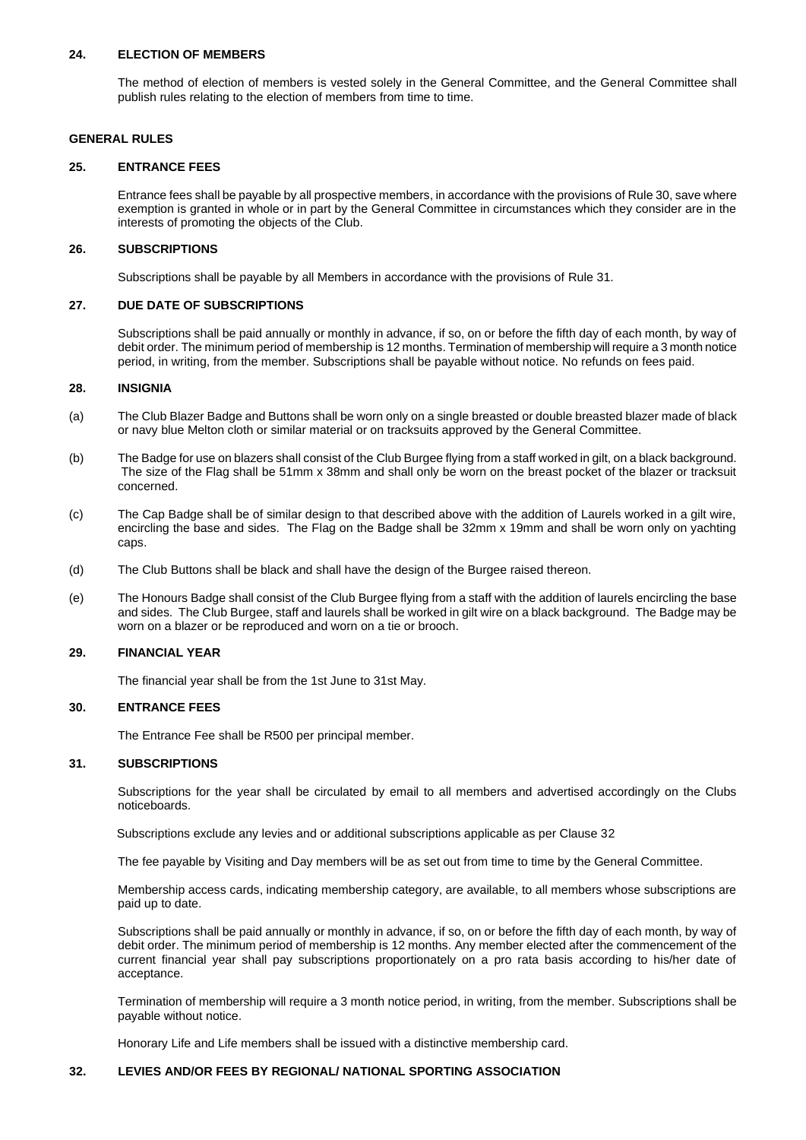### **24. ELECTION OF MEMBERS**

The method of election of members is vested solely in the General Committee, and the General Committee shall publish rules relating to the election of members from time to time.

### **GENERAL RULES**

#### **25. ENTRANCE FEES**

Entrance fees shall be payable by all prospective members, in accordance with the provisions of Rule 30, save where exemption is granted in whole or in part by the General Committee in circumstances which they consider are in the interests of promoting the objects of the Club.

### **26. SUBSCRIPTIONS**

Subscriptions shall be payable by all Members in accordance with the provisions of Rule 31.

### **27. DUE DATE OF SUBSCRIPTIONS**

Subscriptions shall be paid annually or monthly in advance, if so, on or before the fifth day of each month, by way of debit order. The minimum period of membership is 12 months. Termination of membership will require a 3 month notice period, in writing, from the member. Subscriptions shall be payable without notice. No refunds on fees paid.

#### **28. INSIGNIA**

- (a) The Club Blazer Badge and Buttons shall be worn only on a single breasted or double breasted blazer made of black or navy blue Melton cloth or similar material or on tracksuits approved by the General Committee.
- (b) The Badge for use on blazers shall consist of the Club Burgee flying from a staff worked in gilt, on a black background. The size of the Flag shall be 51mm x 38mm and shall only be worn on the breast pocket of the blazer or tracksuit concerned.
- (c) The Cap Badge shall be of similar design to that described above with the addition of Laurels worked in a gilt wire, encircling the base and sides. The Flag on the Badge shall be 32mm x 19mm and shall be worn only on yachting caps.
- (d) The Club Buttons shall be black and shall have the design of the Burgee raised thereon.
- (e) The Honours Badge shall consist of the Club Burgee flying from a staff with the addition of laurels encircling the base and sides. The Club Burgee, staff and laurels shall be worked in gilt wire on a black background. The Badge may be worn on a blazer or be reproduced and worn on a tie or brooch.

### **29. FINANCIAL YEAR**

The financial year shall be from the 1st June to 31st May.

### **30. ENTRANCE FEES**

The Entrance Fee shall be R500 per principal member.

#### **31. SUBSCRIPTIONS**

Subscriptions for the year shall be circulated by email to all members and advertised accordingly on the Clubs noticeboards.

Subscriptions exclude any levies and or additional subscriptions applicable as per Clause 32

The fee payable by Visiting and Day members will be as set out from time to time by the General Committee.

Membership access cards, indicating membership category, are available, to all members whose subscriptions are paid up to date.

Subscriptions shall be paid annually or monthly in advance, if so, on or before the fifth day of each month, by way of debit order. The minimum period of membership is 12 months. Any member elected after the commencement of the current financial year shall pay subscriptions proportionately on a pro rata basis according to his/her date of acceptance.

Termination of membership will require a 3 month notice period, in writing, from the member. Subscriptions shall be payable without notice.

Honorary Life and Life members shall be issued with a distinctive membership card.

### **32. LEVIES AND/OR FEES BY REGIONAL/ NATIONAL SPORTING ASSOCIATION**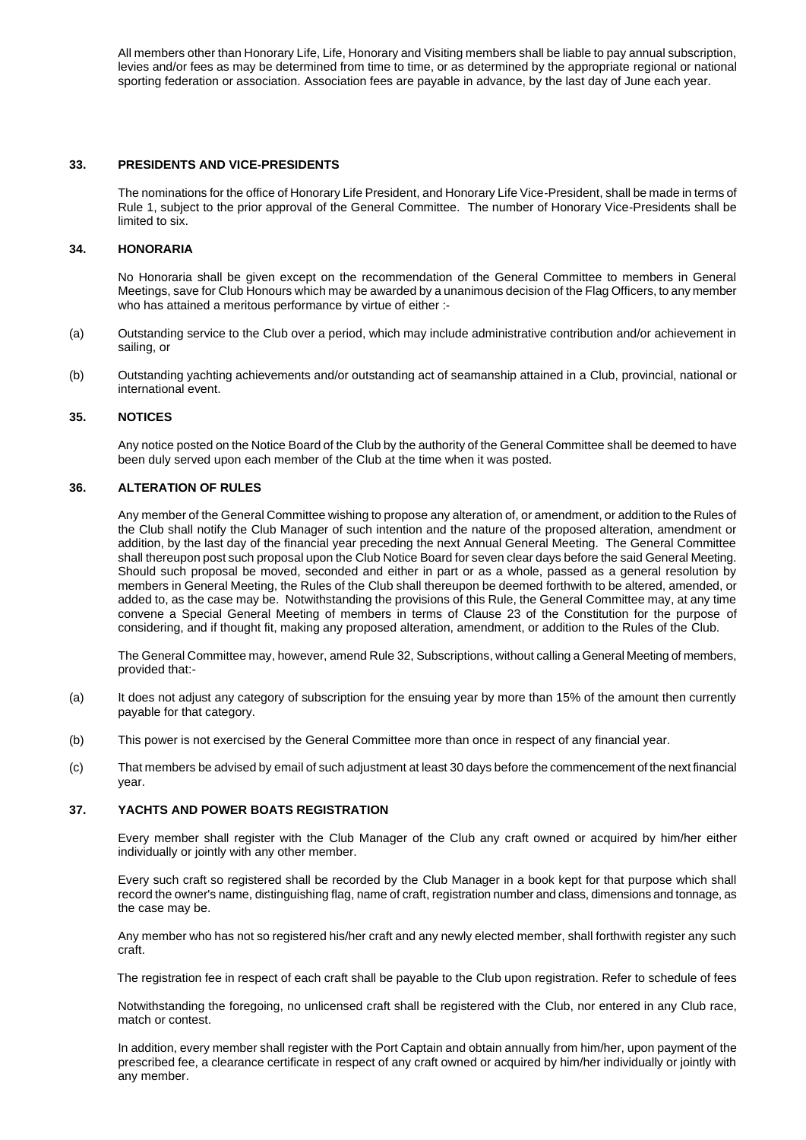All members other than Honorary Life, Life, Honorary and Visiting members shall be liable to pay annual subscription, levies and/or fees as may be determined from time to time, or as determined by the appropriate regional or national sporting federation or association. Association fees are payable in advance, by the last day of June each year.

### **33. PRESIDENTS AND VICE-PRESIDENTS**

The nominations for the office of Honorary Life President, and Honorary Life Vice-President, shall be made in terms of Rule 1, subject to the prior approval of the General Committee. The number of Honorary Vice-Presidents shall be limited to six.

### **34. HONORARIA**

No Honoraria shall be given except on the recommendation of the General Committee to members in General Meetings, save for Club Honours which may be awarded by a unanimous decision of the Flag Officers, to any member who has attained a meritous performance by virtue of either :-

- (a) Outstanding service to the Club over a period, which may include administrative contribution and/or achievement in sailing, or
- (b) Outstanding yachting achievements and/or outstanding act of seamanship attained in a Club, provincial, national or international event.

#### **35. NOTICES**

Any notice posted on the Notice Board of the Club by the authority of the General Committee shall be deemed to have been duly served upon each member of the Club at the time when it was posted.

#### **36. ALTERATION OF RULES**

Any member of the General Committee wishing to propose any alteration of, or amendment, or addition to the Rules of the Club shall notify the Club Manager of such intention and the nature of the proposed alteration, amendment or addition, by the last day of the financial year preceding the next Annual General Meeting. The General Committee shall thereupon post such proposal upon the Club Notice Board for seven clear days before the said General Meeting. Should such proposal be moved, seconded and either in part or as a whole, passed as a general resolution by members in General Meeting, the Rules of the Club shall thereupon be deemed forthwith to be altered, amended, or added to, as the case may be. Notwithstanding the provisions of this Rule, the General Committee may, at any time convene a Special General Meeting of members in terms of Clause 23 of the Constitution for the purpose of considering, and if thought fit, making any proposed alteration, amendment, or addition to the Rules of the Club.

The General Committee may, however, amend Rule 32, Subscriptions, without calling a General Meeting of members, provided that:-

- (a) It does not adjust any category of subscription for the ensuing year by more than 15% of the amount then currently payable for that category.
- (b) This power is not exercised by the General Committee more than once in respect of any financial year.
- (c) That members be advised by email of such adjustment at least 30 days before the commencement of the next financial year.

### **37. YACHTS AND POWER BOATS REGISTRATION**

Every member shall register with the Club Manager of the Club any craft owned or acquired by him/her either individually or jointly with any other member.

Every such craft so registered shall be recorded by the Club Manager in a book kept for that purpose which shall record the owner's name, distinguishing flag, name of craft, registration number and class, dimensions and tonnage, as the case may be.

Any member who has not so registered his/her craft and any newly elected member, shall forthwith register any such craft.

The registration fee in respect of each craft shall be payable to the Club upon registration. Refer to schedule of fees

Notwithstanding the foregoing, no unlicensed craft shall be registered with the Club, nor entered in any Club race, match or contest.

In addition, every member shall register with the Port Captain and obtain annually from him/her, upon payment of the prescribed fee, a clearance certificate in respect of any craft owned or acquired by him/her individually or jointly with any member.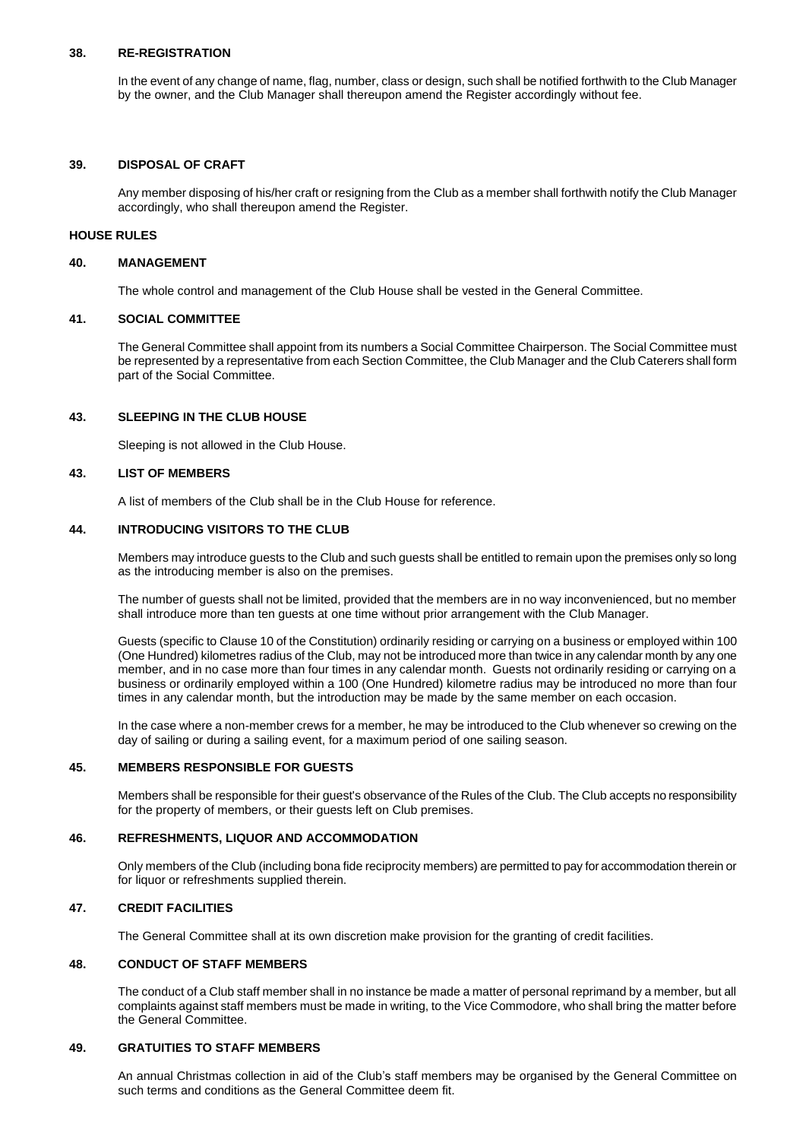### **38. RE-REGISTRATION**

In the event of any change of name, flag, number, class or design, such shall be notified forthwith to the Club Manager by the owner, and the Club Manager shall thereupon amend the Register accordingly without fee.

### **39. DISPOSAL OF CRAFT**

Any member disposing of his/her craft or resigning from the Club as a member shall forthwith notify the Club Manager accordingly, who shall thereupon amend the Register.

#### **HOUSE RULES**

### **40. MANAGEMENT**

The whole control and management of the Club House shall be vested in the General Committee.

### **41. SOCIAL COMMITTEE**

The General Committee shall appoint from its numbers a Social Committee Chairperson. The Social Committee must be represented by a representative from each Section Committee, the Club Manager and the Club Caterers shall form part of the Social Committee.

### **43. SLEEPING IN THE CLUB HOUSE**

Sleeping is not allowed in the Club House.

### **43. LIST OF MEMBERS**

A list of members of the Club shall be in the Club House for reference.

### **44. INTRODUCING VISITORS TO THE CLUB**

Members may introduce guests to the Club and such guests shall be entitled to remain upon the premises only so long as the introducing member is also on the premises.

The number of guests shall not be limited, provided that the members are in no way inconvenienced, but no member shall introduce more than ten guests at one time without prior arrangement with the Club Manager.

Guests (specific to Clause 10 of the Constitution) ordinarily residing or carrying on a business or employed within 100 (One Hundred) kilometres radius of the Club, may not be introduced more than twice in any calendar month by any one member, and in no case more than four times in any calendar month. Guests not ordinarily residing or carrying on a business or ordinarily employed within a 100 (One Hundred) kilometre radius may be introduced no more than four times in any calendar month, but the introduction may be made by the same member on each occasion.

In the case where a non-member crews for a member, he may be introduced to the Club whenever so crewing on the day of sailing or during a sailing event, for a maximum period of one sailing season.

### **45. MEMBERS RESPONSIBLE FOR GUESTS**

Members shall be responsible for their guest's observance of the Rules of the Club. The Club accepts no responsibility for the property of members, or their guests left on Club premises.

### **46. REFRESHMENTS, LIQUOR AND ACCOMMODATION**

Only members of the Club (including bona fide reciprocity members) are permitted to pay for accommodation therein or for liquor or refreshments supplied therein.

### **47. CREDIT FACILITIES**

The General Committee shall at its own discretion make provision for the granting of credit facilities.

#### **48. CONDUCT OF STAFF MEMBERS**

The conduct of a Club staff member shall in no instance be made a matter of personal reprimand by a member, but all complaints against staff members must be made in writing, to the Vice Commodore, who shall bring the matter before the General Committee.

### **49. GRATUITIES TO STAFF MEMBERS**

An annual Christmas collection in aid of the Club's staff members may be organised by the General Committee on such terms and conditions as the General Committee deem fit.